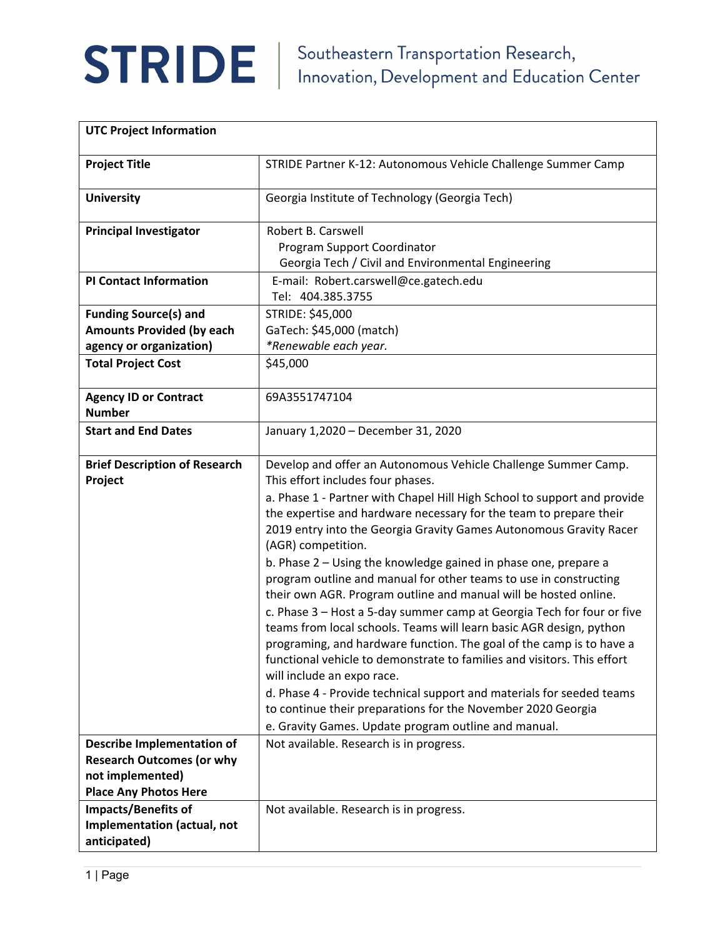

| <b>UTC Project Information</b>                                                                                            |                                                                                                                                                                                                                                                                                                                                                                                                                                                                                                                                                                                                                                                                                                                                                                                                                                                                                                                                                                                                                                                                                                  |
|---------------------------------------------------------------------------------------------------------------------------|--------------------------------------------------------------------------------------------------------------------------------------------------------------------------------------------------------------------------------------------------------------------------------------------------------------------------------------------------------------------------------------------------------------------------------------------------------------------------------------------------------------------------------------------------------------------------------------------------------------------------------------------------------------------------------------------------------------------------------------------------------------------------------------------------------------------------------------------------------------------------------------------------------------------------------------------------------------------------------------------------------------------------------------------------------------------------------------------------|
| <b>Project Title</b>                                                                                                      | STRIDE Partner K-12: Autonomous Vehicle Challenge Summer Camp                                                                                                                                                                                                                                                                                                                                                                                                                                                                                                                                                                                                                                                                                                                                                                                                                                                                                                                                                                                                                                    |
| <b>University</b>                                                                                                         | Georgia Institute of Technology (Georgia Tech)                                                                                                                                                                                                                                                                                                                                                                                                                                                                                                                                                                                                                                                                                                                                                                                                                                                                                                                                                                                                                                                   |
| <b>Principal Investigator</b>                                                                                             | Robert B. Carswell<br>Program Support Coordinator                                                                                                                                                                                                                                                                                                                                                                                                                                                                                                                                                                                                                                                                                                                                                                                                                                                                                                                                                                                                                                                |
|                                                                                                                           | Georgia Tech / Civil and Environmental Engineering                                                                                                                                                                                                                                                                                                                                                                                                                                                                                                                                                                                                                                                                                                                                                                                                                                                                                                                                                                                                                                               |
| <b>PI Contact Information</b>                                                                                             | E-mail: Robert.carswell@ce.gatech.edu                                                                                                                                                                                                                                                                                                                                                                                                                                                                                                                                                                                                                                                                                                                                                                                                                                                                                                                                                                                                                                                            |
|                                                                                                                           | Tel: 404.385.3755                                                                                                                                                                                                                                                                                                                                                                                                                                                                                                                                                                                                                                                                                                                                                                                                                                                                                                                                                                                                                                                                                |
| <b>Funding Source(s) and</b>                                                                                              | STRIDE: \$45,000                                                                                                                                                                                                                                                                                                                                                                                                                                                                                                                                                                                                                                                                                                                                                                                                                                                                                                                                                                                                                                                                                 |
| <b>Amounts Provided (by each</b>                                                                                          | GaTech: \$45,000 (match)                                                                                                                                                                                                                                                                                                                                                                                                                                                                                                                                                                                                                                                                                                                                                                                                                                                                                                                                                                                                                                                                         |
| agency or organization)                                                                                                   | *Renewable each year.                                                                                                                                                                                                                                                                                                                                                                                                                                                                                                                                                                                                                                                                                                                                                                                                                                                                                                                                                                                                                                                                            |
| <b>Total Project Cost</b>                                                                                                 | \$45,000                                                                                                                                                                                                                                                                                                                                                                                                                                                                                                                                                                                                                                                                                                                                                                                                                                                                                                                                                                                                                                                                                         |
| <b>Agency ID or Contract</b><br><b>Number</b>                                                                             | 69A3551747104                                                                                                                                                                                                                                                                                                                                                                                                                                                                                                                                                                                                                                                                                                                                                                                                                                                                                                                                                                                                                                                                                    |
| <b>Start and End Dates</b>                                                                                                | January 1,2020 - December 31, 2020                                                                                                                                                                                                                                                                                                                                                                                                                                                                                                                                                                                                                                                                                                                                                                                                                                                                                                                                                                                                                                                               |
| <b>Brief Description of Research</b><br>Project                                                                           | Develop and offer an Autonomous Vehicle Challenge Summer Camp.<br>This effort includes four phases.<br>a. Phase 1 - Partner with Chapel Hill High School to support and provide<br>the expertise and hardware necessary for the team to prepare their<br>2019 entry into the Georgia Gravity Games Autonomous Gravity Racer<br>(AGR) competition.<br>b. Phase 2 - Using the knowledge gained in phase one, prepare a<br>program outline and manual for other teams to use in constructing<br>their own AGR. Program outline and manual will be hosted online.<br>c. Phase 3 - Host a 5-day summer camp at Georgia Tech for four or five<br>teams from local schools. Teams will learn basic AGR design, python<br>programing, and hardware function. The goal of the camp is to have a<br>functional vehicle to demonstrate to families and visitors. This effort<br>will include an expo race.<br>d. Phase 4 - Provide technical support and materials for seeded teams<br>to continue their preparations for the November 2020 Georgia<br>e. Gravity Games. Update program outline and manual. |
| <b>Describe Implementation of</b><br><b>Research Outcomes (or why</b><br>not implemented)<br><b>Place Any Photos Here</b> | Not available. Research is in progress.                                                                                                                                                                                                                                                                                                                                                                                                                                                                                                                                                                                                                                                                                                                                                                                                                                                                                                                                                                                                                                                          |
| <b>Impacts/Benefits of</b><br>Implementation (actual, not<br>anticipated)                                                 | Not available. Research is in progress.                                                                                                                                                                                                                                                                                                                                                                                                                                                                                                                                                                                                                                                                                                                                                                                                                                                                                                                                                                                                                                                          |